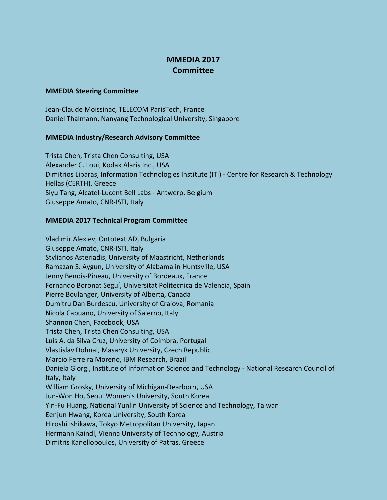## **MMEDIA 2017 Committee**

## **MMEDIA Steering Committee**

Jean-Claude Moissinac, TELECOM ParisTech, France Daniel Thalmann, Nanyang Technological University, Singapore

## **MMEDIA Industry/Research Advisory Committee**

Trista Chen, Trista Chen Consulting, USA Alexander C. Loui, Kodak Alaris Inc., USA Dimitrios Liparas, Information Technologies Institute (ITI) - Centre for Research & Technology Hellas (CERTH), Greece Siyu Tang, Alcatel-Lucent Bell Labs - Antwerp, Belgium Giuseppe Amato, CNR-ISTI, Italy

## **MMEDIA 2017 Technical Program Committee**

Vladimir Alexiev, Ontotext AD, Bulgaria Giuseppe Amato, CNR-ISTI, Italy Stylianos Asteriadis, University of Maastricht, Netherlands Ramazan S. Aygun, University of Alabama in Huntsville, USA Jenny Benois-Pineau, University of Bordeaux, France Fernando Boronat Seguí, Universitat Politecnica de Valencia, Spain Pierre Boulanger, University of Alberta, Canada Dumitru Dan Burdescu, University of Craiova, Romania Nicola Capuano, University of Salerno, Italy Shannon Chen, Facebook, USA Trista Chen, Trista Chen Consulting, USA Luis A. da Silva Cruz, University of Coimbra, Portugal Vlastislav Dohnal, Masaryk University, Czech Republic Marcio Ferreira Moreno, IBM Research, Brazil Daniela Giorgi, Institute of Information Science and Technology - National Research Council of Italy, Italy William Grosky, University of Michigan-Dearborn, USA Jun-Won Ho, Seoul Women's University, South Korea Yin-Fu Huang, National Yunlin University of Science and Technology, Taiwan Eenjun Hwang, Korea University, South Korea Hiroshi Ishikawa, Tokyo Metropolitan University, Japan Hermann Kaindl, Vienna University of Technology, Austria Dimitris Kanellopoulos, University of Patras, Greece